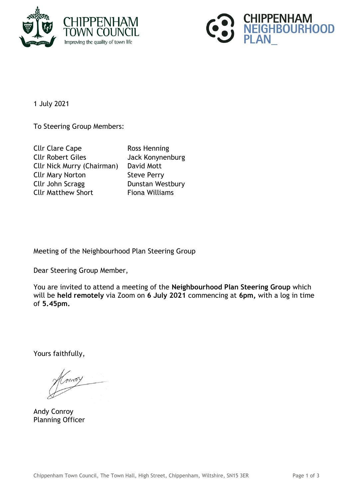



1 July 2021

To Steering Group Members:

| <b>Cllr Clare Cape</b>            | Ross Henning          |
|-----------------------------------|-----------------------|
| <b>Cllr Robert Giles</b>          | Jack Konynenburg      |
| <b>Cllr Nick Murry (Chairman)</b> | David Mott            |
| <b>Cllr Mary Norton</b>           | <b>Steve Perry</b>    |
| Cllr John Scragg                  | Dunstan Westbury      |
| <b>Cllr Matthew Short</b>         | <b>Fiona Williams</b> |

Meeting of the Neighbourhood Plan Steering Group

Dear Steering Group Member,

You are invited to attend a meeting of the **Neighbourhood Plan Steering Group** which will be **held remotely** via Zoom on **6 July 2021** commencing at **6pm,** with a log in time of **5.45pm.**

Yours faithfully,

moy

Andy Conroy Planning Officer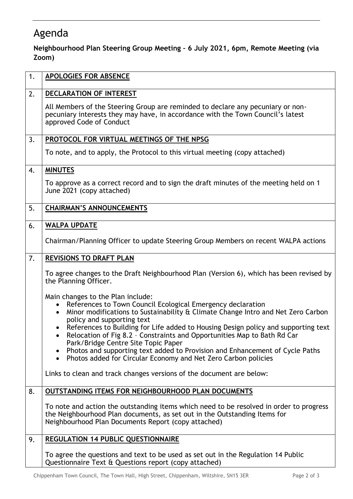## Agenda

**Neighbourhood Plan Steering Group Meeting – 6 July 2021, 6pm, Remote Meeting (via Zoom)**

| 1. | <b>APOLOGIES FOR ABSENCE</b>                                                                                                                                                                                                                                                                                                                                                                                                                          |
|----|-------------------------------------------------------------------------------------------------------------------------------------------------------------------------------------------------------------------------------------------------------------------------------------------------------------------------------------------------------------------------------------------------------------------------------------------------------|
| 2. | DECLARATION OF INTEREST                                                                                                                                                                                                                                                                                                                                                                                                                               |
|    | All Members of the Steering Group are reminded to declare any pecuniary or non-<br>pecuniary interests they may have, in accordance with the Town Council's latest<br>approved Code of Conduct                                                                                                                                                                                                                                                        |
| 3. | PROTOCOL FOR VIRTUAL MEETINGS OF THE NPSG                                                                                                                                                                                                                                                                                                                                                                                                             |
|    | To note, and to apply, the Protocol to this virtual meeting (copy attached)                                                                                                                                                                                                                                                                                                                                                                           |
| 4. | <b>MINUTES</b>                                                                                                                                                                                                                                                                                                                                                                                                                                        |
|    | To approve as a correct record and to sign the draft minutes of the meeting held on 1<br>June 2021 (copy attached)                                                                                                                                                                                                                                                                                                                                    |
| 5. | <b>CHAIRMAN'S ANNOUNCEMENTS</b>                                                                                                                                                                                                                                                                                                                                                                                                                       |
| 6. | <b>WALPA UPDATE</b>                                                                                                                                                                                                                                                                                                                                                                                                                                   |
|    | Chairman/Planning Officer to update Steering Group Members on recent WALPA actions                                                                                                                                                                                                                                                                                                                                                                    |
| 7. | <b>REVISIONS TO DRAFT PLAN</b>                                                                                                                                                                                                                                                                                                                                                                                                                        |
|    | To agree changes to the Draft Neighbourhood Plan (Version 6), which has been revised by<br>the Planning Officer.                                                                                                                                                                                                                                                                                                                                      |
|    | Main changes to the Plan include:<br>References to Town Council Ecological Emergency declaration<br>Minor modifications to Sustainability & Climate Change Intro and Net Zero Carbon<br>$\bullet$<br>policy and supporting text<br>References to Building for Life added to Housing Design policy and supporting text<br>$\bullet$<br>Relocation of Fig 8.2 - Constraints and Opportunities Map to Bath Rd Car<br>Park/Bridge Centre Site Topic Paper |
|    | Photos and supporting text added to Provision and Enhancement of Cycle Paths<br>$\bullet$                                                                                                                                                                                                                                                                                                                                                             |
|    | Photos added for Circular Economy and Net Zero Carbon policies<br>$\bullet$                                                                                                                                                                                                                                                                                                                                                                           |
|    | Links to clean and track changes versions of the document are below:                                                                                                                                                                                                                                                                                                                                                                                  |
| 8. | <b>OUTSTANDING ITEMS FOR NEIGHBOURHOOD PLAN DOCUMENTS</b>                                                                                                                                                                                                                                                                                                                                                                                             |
|    | To note and action the outstanding items which need to be resolved in order to progress<br>the Neighbourhood Plan documents, as set out in the Outstanding Items for<br>Neighbourhood Plan Documents Report (copy attached)                                                                                                                                                                                                                           |
| 9. | <b>REGULATION 14 PUBLIC QUESTIONNAIRE</b>                                                                                                                                                                                                                                                                                                                                                                                                             |
|    | To agree the questions and text to be used as set out in the Regulation 14 Public<br>Questionnaire Text & Questions report (copy attached)                                                                                                                                                                                                                                                                                                            |